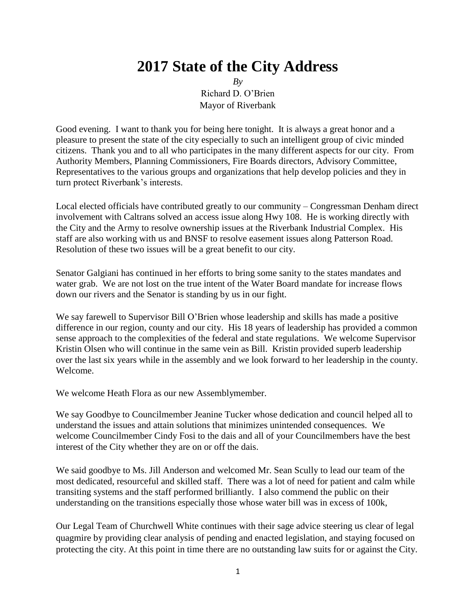# **2017 State of the City Address**

*By* Richard D. O'Brien Mayor of Riverbank

Good evening. I want to thank you for being here tonight. It is always a great honor and a pleasure to present the state of the city especially to such an intelligent group of civic minded citizens. Thank you and to all who participates in the many different aspects for our city. From Authority Members, Planning Commissioners, Fire Boards directors, Advisory Committee, Representatives to the various groups and organizations that help develop policies and they in turn protect Riverbank's interests.

Local elected officials have contributed greatly to our community – Congressman Denham direct involvement with Caltrans solved an access issue along Hwy 108. He is working directly with the City and the Army to resolve ownership issues at the Riverbank Industrial Complex. His staff are also working with us and BNSF to resolve easement issues along Patterson Road. Resolution of these two issues will be a great benefit to our city.

Senator Galgiani has continued in her efforts to bring some sanity to the states mandates and water grab. We are not lost on the true intent of the Water Board mandate for increase flows down our rivers and the Senator is standing by us in our fight.

We say farewell to Supervisor Bill O'Brien whose leadership and skills has made a positive difference in our region, county and our city. His 18 years of leadership has provided a common sense approach to the complexities of the federal and state regulations. We welcome Supervisor Kristin Olsen who will continue in the same vein as Bill. Kristin provided superb leadership over the last six years while in the assembly and we look forward to her leadership in the county. Welcome.

We welcome Heath Flora as our new Assemblymember.

We say Goodbye to Councilmember Jeanine Tucker whose dedication and council helped all to understand the issues and attain solutions that minimizes unintended consequences. We welcome Councilmember Cindy Fosi to the dais and all of your Councilmembers have the best interest of the City whether they are on or off the dais.

We said goodbye to Ms. Jill Anderson and welcomed Mr. Sean Scully to lead our team of the most dedicated, resourceful and skilled staff. There was a lot of need for patient and calm while transiting systems and the staff performed brilliantly. I also commend the public on their understanding on the transitions especially those whose water bill was in excess of 100k,

Our Legal Team of Churchwell White continues with their sage advice steering us clear of legal quagmire by providing clear analysis of pending and enacted legislation, and staying focused on protecting the city. At this point in time there are no outstanding law suits for or against the City.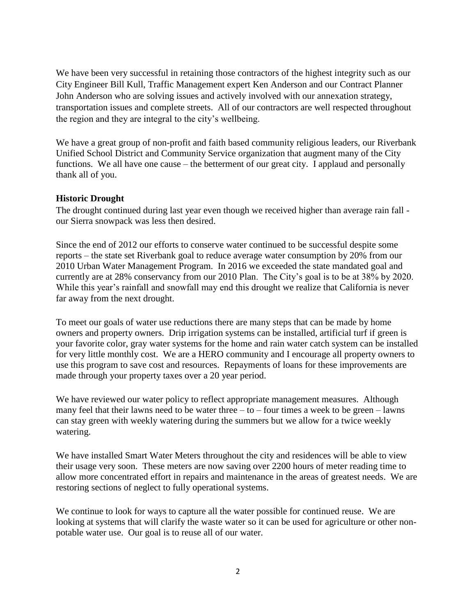We have been very successful in retaining those contractors of the highest integrity such as our City Engineer Bill Kull, Traffic Management expert Ken Anderson and our Contract Planner John Anderson who are solving issues and actively involved with our annexation strategy, transportation issues and complete streets. All of our contractors are well respected throughout the region and they are integral to the city's wellbeing.

We have a great group of non-profit and faith based community religious leaders, our Riverbank Unified School District and Community Service organization that augment many of the City functions. We all have one cause – the betterment of our great city. I applaud and personally thank all of you.

#### **Historic Drought**

The drought continued during last year even though we received higher than average rain fall our Sierra snowpack was less then desired.

Since the end of 2012 our efforts to conserve water continued to be successful despite some reports – the state set Riverbank goal to reduce average water consumption by 20% from our 2010 Urban Water Management Program. In 2016 we exceeded the state mandated goal and currently are at 28% conservancy from our 2010 Plan. The City's goal is to be at 38% by 2020. While this year's rainfall and snowfall may end this drought we realize that California is never far away from the next drought.

To meet our goals of water use reductions there are many steps that can be made by home owners and property owners. Drip irrigation systems can be installed, artificial turf if green is your favorite color, gray water systems for the home and rain water catch system can be installed for very little monthly cost. We are a HERO community and I encourage all property owners to use this program to save cost and resources. Repayments of loans for these improvements are made through your property taxes over a 20 year period.

We have reviewed our water policy to reflect appropriate management measures. Although many feel that their lawns need to be water three  $-$  to  $-$  four times a week to be green  $-$  lawns can stay green with weekly watering during the summers but we allow for a twice weekly watering.

We have installed Smart Water Meters throughout the city and residences will be able to view their usage very soon. These meters are now saving over 2200 hours of meter reading time to allow more concentrated effort in repairs and maintenance in the areas of greatest needs. We are restoring sections of neglect to fully operational systems.

We continue to look for ways to capture all the water possible for continued reuse. We are looking at systems that will clarify the waste water so it can be used for agriculture or other nonpotable water use. Our goal is to reuse all of our water.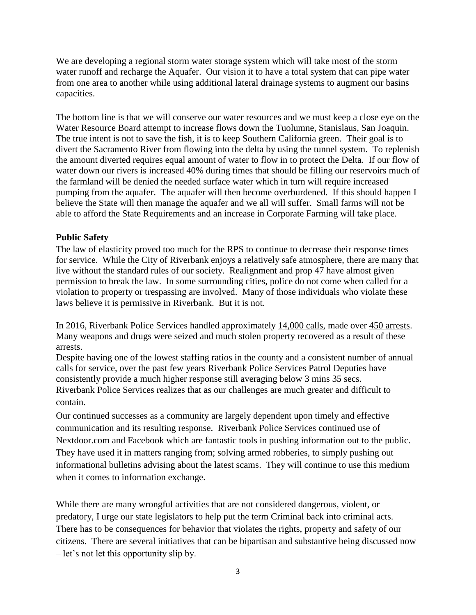We are developing a regional storm water storage system which will take most of the storm water runoff and recharge the Aquafer. Our vision it to have a total system that can pipe water from one area to another while using additional lateral drainage systems to augment our basins capacities.

The bottom line is that we will conserve our water resources and we must keep a close eye on the Water Resource Board attempt to increase flows down the Tuolumne, Stanislaus, San Joaquin. The true intent is not to save the fish, it is to keep Southern California green. Their goal is to divert the Sacramento River from flowing into the delta by using the tunnel system. To replenish the amount diverted requires equal amount of water to flow in to protect the Delta. If our flow of water down our rivers is increased 40% during times that should be filling our reservoirs much of the farmland will be denied the needed surface water which in turn will require increased pumping from the aquafer. The aquafer will then become overburdened. If this should happen I believe the State will then manage the aquafer and we all will suffer. Small farms will not be able to afford the State Requirements and an increase in Corporate Farming will take place.

## **Public Safety**

The law of elasticity proved too much for the RPS to continue to decrease their response times for service. While the City of Riverbank enjoys a relatively safe atmosphere, there are many that live without the standard rules of our society. Realignment and prop 47 have almost given permission to break the law. In some surrounding cities, police do not come when called for a violation to property or trespassing are involved. Many of those individuals who violate these laws believe it is permissive in Riverbank. But it is not.

In 2016, Riverbank Police Services handled approximately 14,000 calls, made over 450 arrests. Many weapons and drugs were seized and much stolen property recovered as a result of these arrests.

Despite having one of the lowest staffing ratios in the county and a consistent number of annual calls for service, over the past few years Riverbank Police Services Patrol Deputies have consistently provide a much higher response still averaging below 3 mins 35 secs. Riverbank Police Services realizes that as our challenges are much greater and difficult to contain.

Our continued successes as a community are largely dependent upon timely and effective communication and its resulting response. Riverbank Police Services continued use of Nextdoor.com and Facebook which are fantastic tools in pushing information out to the public. They have used it in matters ranging from; solving armed robberies, to simply pushing out informational bulletins advising about the latest scams. They will continue to use this medium when it comes to information exchange.

While there are many wrongful activities that are not considered dangerous, violent, or predatory, I urge our state legislators to help put the term Criminal back into criminal acts. There has to be consequences for behavior that violates the rights, property and safety of our citizens. There are several initiatives that can be bipartisan and substantive being discussed now – let's not let this opportunity slip by.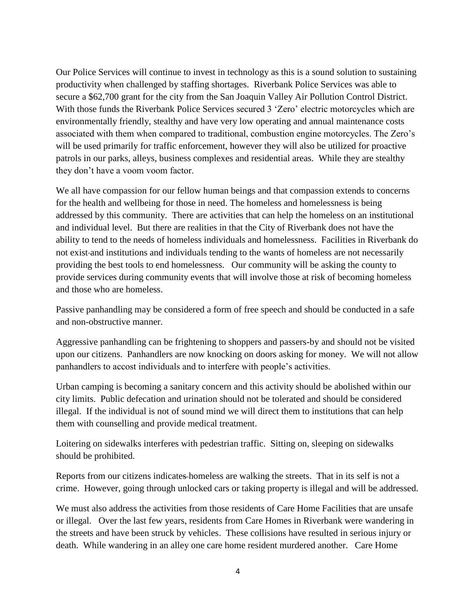Our Police Services will continue to invest in technology as this is a sound solution to sustaining productivity when challenged by staffing shortages. Riverbank Police Services was able to secure a \$62,700 grant for the city from the San Joaquin Valley Air Pollution Control District. With those funds the Riverbank Police Services secured 3 'Zero' electric motorcycles which are environmentally friendly, stealthy and have very low operating and annual maintenance costs associated with them when compared to traditional, combustion engine motorcycles. The Zero's will be used primarily for traffic enforcement, however they will also be utilized for proactive patrols in our parks, alleys, business complexes and residential areas. While they are stealthy they don't have a voom voom factor.

We all have compassion for our fellow human beings and that compassion extends to concerns for the health and wellbeing for those in need. The homeless and homelessness is being addressed by this community. There are activities that can help the homeless on an institutional and individual level. But there are realities in that the City of Riverbank does not have the ability to tend to the needs of homeless individuals and homelessness. Facilities in Riverbank do not exist and institutions and individuals tending to the wants of homeless are not necessarily providing the best tools to end homelessness. Our community will be asking the county to provide services during community events that will involve those at risk of becoming homeless and those who are homeless.

Passive panhandling may be considered a form of free speech and should be conducted in a safe and non-obstructive manner.

Aggressive panhandling can be frightening to shoppers and passers-by and should not be visited upon our citizens. Panhandlers are now knocking on doors asking for money. We will not allow panhandlers to accost individuals and to interfere with people's activities.

Urban camping is becoming a sanitary concern and this activity should be abolished within our city limits. Public defecation and urination should not be tolerated and should be considered illegal. If the individual is not of sound mind we will direct them to institutions that can help them with counselling and provide medical treatment.

Loitering on sidewalks interferes with pedestrian traffic. Sitting on, sleeping on sidewalks should be prohibited.

Reports from our citizens indicates homeless are walking the streets. That in its self is not a crime. However, going through unlocked cars or taking property is illegal and will be addressed.

We must also address the activities from those residents of Care Home Facilities that are unsafe or illegal. Over the last few years, residents from Care Homes in Riverbank were wandering in the streets and have been struck by vehicles. These collisions have resulted in serious injury or death. While wandering in an alley one care home resident murdered another. Care Home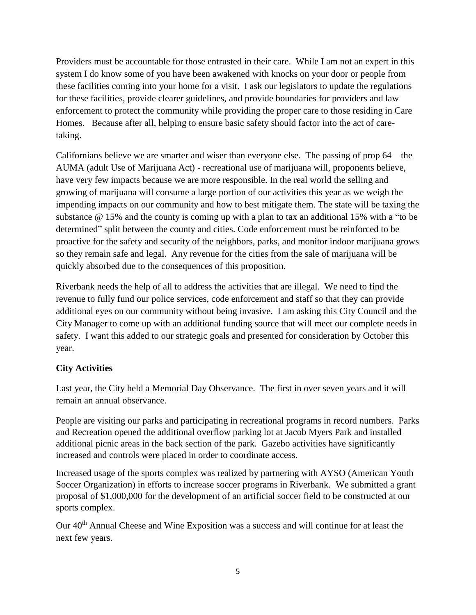Providers must be accountable for those entrusted in their care. While I am not an expert in this system I do know some of you have been awakened with knocks on your door or people from these facilities coming into your home for a visit. I ask our legislators to update the regulations for these facilities, provide clearer guidelines, and provide boundaries for providers and law enforcement to protect the community while providing the proper care to those residing in Care Homes. Because after all, helping to ensure basic safety should factor into the act of caretaking.

Californians believe we are smarter and wiser than everyone else. The passing of prop 64 – the AUMA (adult Use of Marijuana Act) - recreational use of marijuana will, proponents believe, have very few impacts because we are more responsible. In the real world the selling and growing of marijuana will consume a large portion of our activities this year as we weigh the impending impacts on our community and how to best mitigate them. The state will be taxing the substance @ 15% and the county is coming up with a plan to tax an additional 15% with a "to be determined" split between the county and cities. Code enforcement must be reinforced to be proactive for the safety and security of the neighbors, parks, and monitor indoor marijuana grows so they remain safe and legal. Any revenue for the cities from the sale of marijuana will be quickly absorbed due to the consequences of this proposition.

Riverbank needs the help of all to address the activities that are illegal. We need to find the revenue to fully fund our police services, code enforcement and staff so that they can provide additional eyes on our community without being invasive. I am asking this City Council and the City Manager to come up with an additional funding source that will meet our complete needs in safety. I want this added to our strategic goals and presented for consideration by October this year.

# **City Activities**

Last year, the City held a Memorial Day Observance. The first in over seven years and it will remain an annual observance.

People are visiting our parks and participating in recreational programs in record numbers. Parks and Recreation opened the additional overflow parking lot at Jacob Myers Park and installed additional picnic areas in the back section of the park. Gazebo activities have significantly increased and controls were placed in order to coordinate access.

Increased usage of the sports complex was realized by partnering with AYSO (American Youth Soccer Organization) in efforts to increase soccer programs in Riverbank. We submitted a grant proposal of \$1,000,000 for the development of an artificial soccer field to be constructed at our sports complex.

Our 40<sup>th</sup> Annual Cheese and Wine Exposition was a success and will continue for at least the next few years.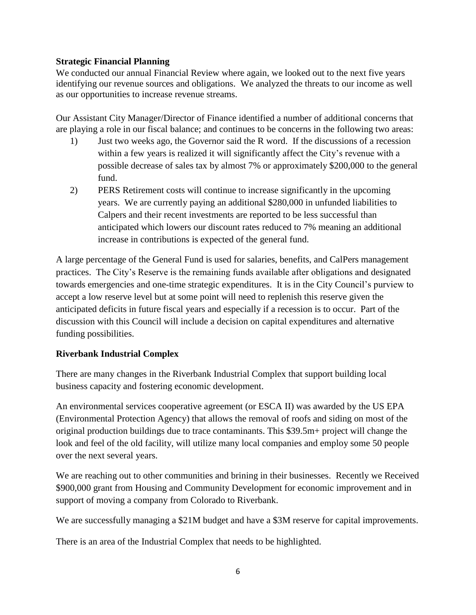## **Strategic Financial Planning**

We conducted our annual Financial Review where again, we looked out to the next five years identifying our revenue sources and obligations. We analyzed the threats to our income as well as our opportunities to increase revenue streams.

Our Assistant City Manager/Director of Finance identified a number of additional concerns that are playing a role in our fiscal balance; and continues to be concerns in the following two areas:

- 1) Just two weeks ago, the Governor said the R word. If the discussions of a recession within a few years is realized it will significantly affect the City's revenue with a possible decrease of sales tax by almost 7% or approximately \$200,000 to the general fund.
- 2) PERS Retirement costs will continue to increase significantly in the upcoming years. We are currently paying an additional \$280,000 in unfunded liabilities to Calpers and their recent investments are reported to be less successful than anticipated which lowers our discount rates reduced to 7% meaning an additional increase in contributions is expected of the general fund.

A large percentage of the General Fund is used for salaries, benefits, and CalPers management practices. The City's Reserve is the remaining funds available after obligations and designated towards emergencies and one-time strategic expenditures. It is in the City Council's purview to accept a low reserve level but at some point will need to replenish this reserve given the anticipated deficits in future fiscal years and especially if a recession is to occur. Part of the discussion with this Council will include a decision on capital expenditures and alternative funding possibilities.

## **Riverbank Industrial Complex**

There are many changes in the Riverbank Industrial Complex that support building local business capacity and fostering economic development.

An environmental services cooperative agreement (or ESCA II) was awarded by the US EPA (Environmental Protection Agency) that allows the removal of roofs and siding on most of the original production buildings due to trace contaminants. This \$39.5m+ project will change the look and feel of the old facility, will utilize many local companies and employ some 50 people over the next several years.

We are reaching out to other communities and brining in their businesses. Recently we Received \$900,000 grant from Housing and Community Development for economic improvement and in support of moving a company from Colorado to Riverbank.

We are successfully managing a \$21M budget and have a \$3M reserve for capital improvements.

There is an area of the Industrial Complex that needs to be highlighted.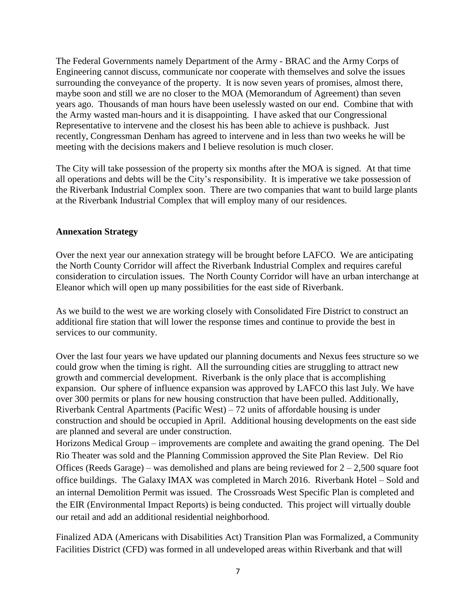The Federal Governments namely Department of the Army - BRAC and the Army Corps of Engineering cannot discuss, communicate nor cooperate with themselves and solve the issues surrounding the conveyance of the property. It is now seven years of promises, almost there, maybe soon and still we are no closer to the MOA (Memorandum of Agreement) than seven years ago. Thousands of man hours have been uselessly wasted on our end. Combine that with the Army wasted man-hours and it is disappointing. I have asked that our Congressional Representative to intervene and the closest his has been able to achieve is pushback. Just recently, Congressman Denham has agreed to intervene and in less than two weeks he will be meeting with the decisions makers and I believe resolution is much closer.

The City will take possession of the property six months after the MOA is signed. At that time all operations and debts will be the City's responsibility. It is imperative we take possession of the Riverbank Industrial Complex soon. There are two companies that want to build large plants at the Riverbank Industrial Complex that will employ many of our residences.

#### **Annexation Strategy**

Over the next year our annexation strategy will be brought before LAFCO. We are anticipating the North County Corridor will affect the Riverbank Industrial Complex and requires careful consideration to circulation issues. The North County Corridor will have an urban interchange at Eleanor which will open up many possibilities for the east side of Riverbank.

As we build to the west we are working closely with Consolidated Fire District to construct an additional fire station that will lower the response times and continue to provide the best in services to our community.

Over the last four years we have updated our planning documents and Nexus fees structure so we could grow when the timing is right. All the surrounding cities are struggling to attract new growth and commercial development. Riverbank is the only place that is accomplishing expansion. Our sphere of influence expansion was approved by LAFCO this last July. We have over 300 permits or plans for new housing construction that have been pulled. Additionally, Riverbank Central Apartments (Pacific West) – 72 units of affordable housing is under construction and should be occupied in April. Additional housing developments on the east side are planned and several are under construction.

Horizons Medical Group – improvements are complete and awaiting the grand opening. The Del Rio Theater was sold and the Planning Commission approved the Site Plan Review. Del Rio Offices (Reeds Garage) – was demolished and plans are being reviewed for  $2 - 2,500$  square foot office buildings. The Galaxy IMAX was completed in March 2016. Riverbank Hotel – Sold and an internal Demolition Permit was issued. The Crossroads West Specific Plan is completed and the EIR (Environmental Impact Reports) is being conducted. This project will virtually double our retail and add an additional residential neighborhood.

Finalized ADA (Americans with Disabilities Act) Transition Plan was Formalized, a Community Facilities District (CFD) was formed in all undeveloped areas within Riverbank and that will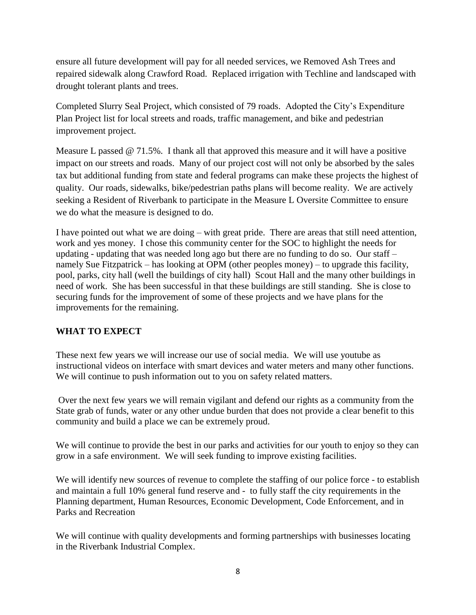ensure all future development will pay for all needed services, we Removed Ash Trees and repaired sidewalk along Crawford Road. Replaced irrigation with Techline and landscaped with drought tolerant plants and trees.

Completed Slurry Seal Project, which consisted of 79 roads. Adopted the City's Expenditure Plan Project list for local streets and roads, traffic management, and bike and pedestrian improvement project.

Measure L passed  $\omega$  71.5%. I thank all that approved this measure and it will have a positive impact on our streets and roads. Many of our project cost will not only be absorbed by the sales tax but additional funding from state and federal programs can make these projects the highest of quality. Our roads, sidewalks, bike/pedestrian paths plans will become reality. We are actively seeking a Resident of Riverbank to participate in the Measure L Oversite Committee to ensure we do what the measure is designed to do.

I have pointed out what we are doing – with great pride. There are areas that still need attention, work and yes money. I chose this community center for the SOC to highlight the needs for updating - updating that was needed long ago but there are no funding to do so. Our staff – namely Sue Fitzpatrick – has looking at OPM (other peoples money) – to upgrade this facility, pool, parks, city hall (well the buildings of city hall) Scout Hall and the many other buildings in need of work. She has been successful in that these buildings are still standing. She is close to securing funds for the improvement of some of these projects and we have plans for the improvements for the remaining.

## **WHAT TO EXPECT**

These next few years we will increase our use of social media. We will use youtube as instructional videos on interface with smart devices and water meters and many other functions. We will continue to push information out to you on safety related matters.

Over the next few years we will remain vigilant and defend our rights as a community from the State grab of funds, water or any other undue burden that does not provide a clear benefit to this community and build a place we can be extremely proud.

We will continue to provide the best in our parks and activities for our youth to enjoy so they can grow in a safe environment. We will seek funding to improve existing facilities.

We will identify new sources of revenue to complete the staffing of our police force - to establish and maintain a full 10% general fund reserve and - to fully staff the city requirements in the Planning department, Human Resources, Economic Development, Code Enforcement, and in Parks and Recreation

We will continue with quality developments and forming partnerships with businesses locating in the Riverbank Industrial Complex.